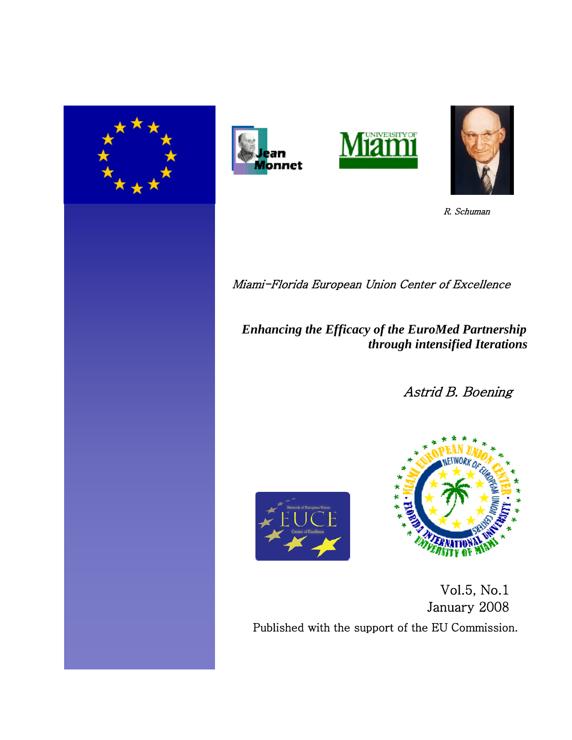







R. Schuman

Miami-Florida European Union Center of Excellence

 *Enhancing the Efficacy of the EuroMed Partnership through intensified Iterations* 

Astrid B. Boening





 Vol.5, No.1 January 2008 Published with the support of the EU Commission.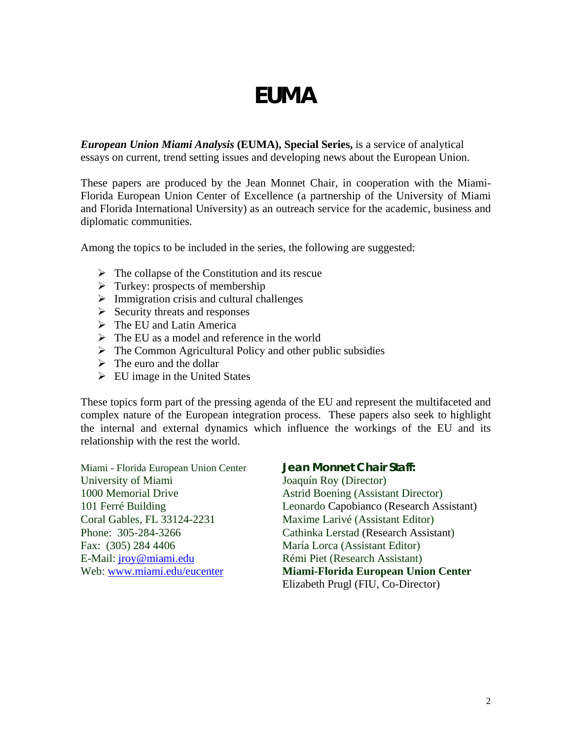# **EUMA**

*European Union Miami Analysis* **(EUMA), Special Series,** is a service of analytical essays on current, trend setting issues and developing news about the European Union.

These papers are produced by the Jean Monnet Chair, in cooperation with the Miami-Florida European Union Center of Excellence (a partnership of the University of Miami and Florida International University) as an outreach service for the academic, business and diplomatic communities.

Among the topics to be included in the series, the following are suggested:

- $\triangleright$  The collapse of the Constitution and its rescue
- $\triangleright$  Turkey: prospects of membership
- $\triangleright$  Immigration crisis and cultural challenges
- $\triangleright$  Security threats and responses
- $\triangleright$  The EU and Latin America
- $\triangleright$  The EU as a model and reference in the world
- $\triangleright$  The Common Agricultural Policy and other public subsidies
- $\triangleright$  The euro and the dollar
- $\triangleright$  EU image in the United States

These topics form part of the pressing agenda of the EU and represent the multifaceted and complex nature of the European integration process. These papers also seek to highlight the internal and external dynamics which influence the workings of the EU and its relationship with the rest the world.

Miami - Florida European Union Center **Jean Monnet Chair Staff:** University of Miami Joaquín Roy (Director) 1000 Memorial Drive Astrid Boening (Assistant Director) Coral Gables, FL 33124-2231 Maxime Larivé (Assistant Editor) Fax: (305) 284 4406 María Lorca (Assistant Editor) E-Mail: [jroy@miami.edu](mailto:jroy@miami.edu) Rémi Piet (Research Assistant)

101 Ferré Building Leonardo Capobianco (Research Assistant) Phone: 305-284-3266 Cathinka Lerstad (Research Assistant) Web: [www.miami.edu/eucenter](http://www.miami.edu/eucenter) **Miami-Florida European Union Center** Elizabeth Prugl (FIU, Co-Director)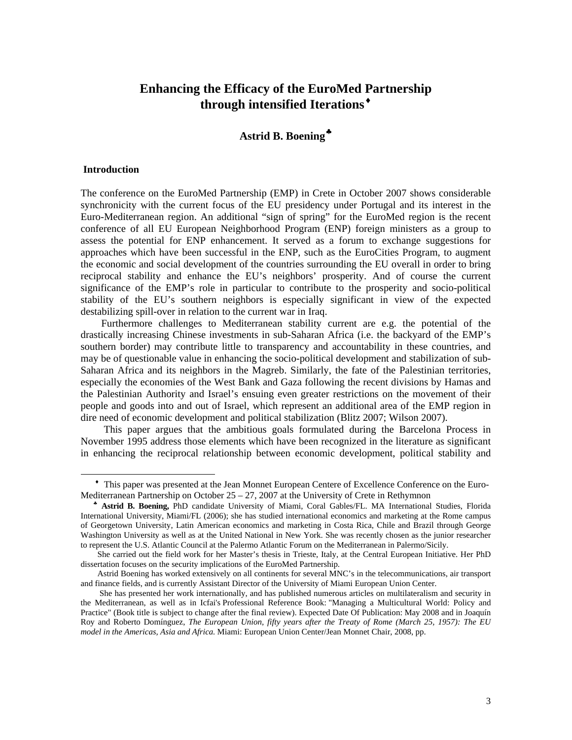# **Enhancing the Efficacy of the EuroMed [Pa](#page-2-0)rtnership through intensified Iterations**[♦](#page-2-0)

## **Astrid B. Boening**[♣](#page-2-1)

#### **Introduction**

l

The conference on the EuroMed Partnership (EMP) in Crete in October 2007 shows considerable synchronicity with the current focus of the EU presidency under Portugal and its interest in the Euro-Mediterranean region. An additional "sign of spring" for the EuroMed region is the recent conference of all EU European Neighborhood Program (ENP) foreign ministers as a group to assess the potential for ENP enhancement. It served as a forum to exchange suggestions for approaches which have been successful in the ENP, such as the EuroCities Program, to augment the economic and social development of the countries surrounding the EU overall in order to bring reciprocal stability and enhance the EU's neighbors' prosperity. And of course the current significance of the EMP's role in particular to contribute to the prosperity and socio-political stability of the EU's southern neighbors is especially significant in view of the expected destabilizing spill-over in relation to the current war in Iraq.

 Furthermore challenges to Mediterranean stability current are e.g. the potential of the drastically increasing Chinese investments in sub-Saharan Africa (i.e. the backyard of the EMP's southern border) may contribute little to transparency and accountability in these countries, and may be of questionable value in enhancing the socio-political development and stabilization of sub-Saharan Africa and its neighbors in the Magreb. Similarly, the fate of the Palestinian territories, especially the economies of the West Bank and Gaza following the recent divisions by Hamas and the Palestinian Authority and Israel's ensuing even greater restrictions on the movement of their people and goods into and out of Israel, which represent an additional area of the EMP region in dire need of economic development and political stabilization (Blitz 2007; Wilson 2007).

 This paper argues that the ambitious goals formulated during the Barcelona Process in November 1995 address those elements which have been recognized in the literature as significant in enhancing the reciprocal relationship between economic development, political stability and

<span id="page-2-0"></span>♦ This paper was presented at the Jean Monnet European Centere of Excellence Conference on the Euro-Mediterranean Partnership on October 25 – 27, 2007 at the University of Crete in Rethymnon

<span id="page-2-1"></span>♣ **Astrid B. Boening,** PhD candidate University of Miami, Coral Gables/FL. MA International Studies, Florida International University, Miami/FL (2006); she has studied international economics and marketing at the Rome campus of Georgetown University, Latin American economics and marketing in Costa Rica, Chile and Brazil through George Washington University as well as at the United National in New York. She was recently chosen as the junior researcher to represent the U.S. Atlantic Council at the Palermo Atlantic Forum on the Mediterranean in Palermo/Sicily.

She carried out the field work for her Master's thesis in Trieste, Italy, at the Central European Initiative. Her PhD dissertation focuses on the security implications of the EuroMed Partnership.

Astrid Boening has worked extensively on all continents for several MNC's in the telecommunications, air transport and finance fields, and is currently Assistant Director of the University of Miami European Union Center.

She has presented her work internationally, and has published numerous articles on multilateralism and security in the Mediterranean, as well as in Icfai's Professional Reference Book: "Managing a Multicultural World: Policy and Practice" (Book title is subject to change after the final review). Expected Date Of Publication: May 2008 and in Joaquín Roy and Roberto Domínguez, *The European Union, fifty years after the Treaty of Rome (March 25, 1957): The EU model in the Americas, Asia and Africa.* Miami: European Union Center/Jean Monnet Chair, 2008, pp.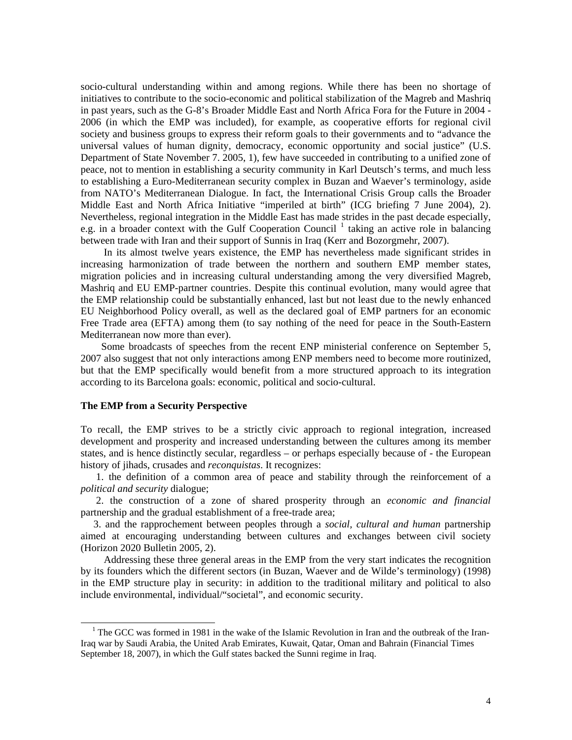socio-cultural understanding within and among regions. While there has been no shortage of initiatives to contribute to the socio-economic and political stabilization of the Magreb and Mashriq in past years, such as the G-8's Broader Middle East and North Africa Fora for the Future in 2004 - 2006 (in which the EMP was included), for example, as cooperative efforts for regional civil society and business groups to express their reform goals to their governments and to "advance the universal values of human dignity, democracy, economic opportunity and social justice" (U.S. Department of State November 7. 2005, 1), few have succeeded in contributing to a unified zone of peace, not to mention in establishing a security community in Karl Deutsch's terms, and much less to establishing a Euro-Mediterranean security complex in Buzan and Waever's terminology, aside from NATO's Mediterranean Dialogue. In fact, the International Crisis Group calls the Broader Middle East and North Africa Initiative "imperiled at birth" (ICG briefing 7 June 2004), 2). Nevertheless, regional integration in the Middle East has made strides in the past decade especially, e.g. in a broader context with the Gulf Cooperation Council<sup>[1](#page-3-0)</sup> taking an active role in balancing between trade with Iran and their support of Sunnis in Iraq (Kerr and Bozorgmehr, 2007).

 In its almost twelve years existence, the EMP has nevertheless made significant strides in increasing harmonization of trade between the northern and southern EMP member states, migration policies and in increasing cultural understanding among the very diversified Magreb, Mashriq and EU EMP-partner countries. Despite this continual evolution, many would agree that the EMP relationship could be substantially enhanced, last but not least due to the newly enhanced EU Neighborhood Policy overall, as well as the declared goal of EMP partners for an economic Free Trade area (EFTA) among them (to say nothing of the need for peace in the South-Eastern Mediterranean now more than ever).

 Some broadcasts of speeches from the recent ENP ministerial conference on September 5, 2007 also suggest that not only interactions among ENP members need to become more routinized, but that the EMP specifically would benefit from a more structured approach to its integration according to its Barcelona goals: economic, political and socio-cultural.

#### **The EMP from a Security Perspective**

l

To recall, the EMP strives to be a strictly civic approach to regional integration, increased development and prosperity and increased understanding between the cultures among its member states, and is hence distinctly secular, regardless – or perhaps especially because of - the European history of jihads, crusades and *reconquistas*. It recognizes:

 1. the definition of a common area of peace and stability through the reinforcement of a *political and security* dialogue;

 2. the construction of a zone of shared prosperity through an *economic and financial* partnership and the gradual establishment of a free-trade area;

 3. and the rapprochement between peoples through a *social, cultural and human* partnership aimed at encouraging understanding between cultures and exchanges between civil society (Horizon 2020 Bulletin 2005, 2).

 Addressing these three general areas in the EMP from the very start indicates the recognition by its founders which the different sectors (in Buzan, Waever and de Wilde's terminology) (1998) in the EMP structure play in security: in addition to the traditional military and political to also include environmental, individual/"societal", and economic security.

<span id="page-3-0"></span><sup>&</sup>lt;sup>1</sup> The GCC was formed in 1981 in the wake of the Islamic Revolution in Iran and the outbreak of the Iran-Iraq war by Saudi Arabia, the United Arab Emirates, Kuwait, Qatar, Oman and Bahrain (Financial Times September 18, 2007), in which the Gulf states backed the Sunni regime in Iraq.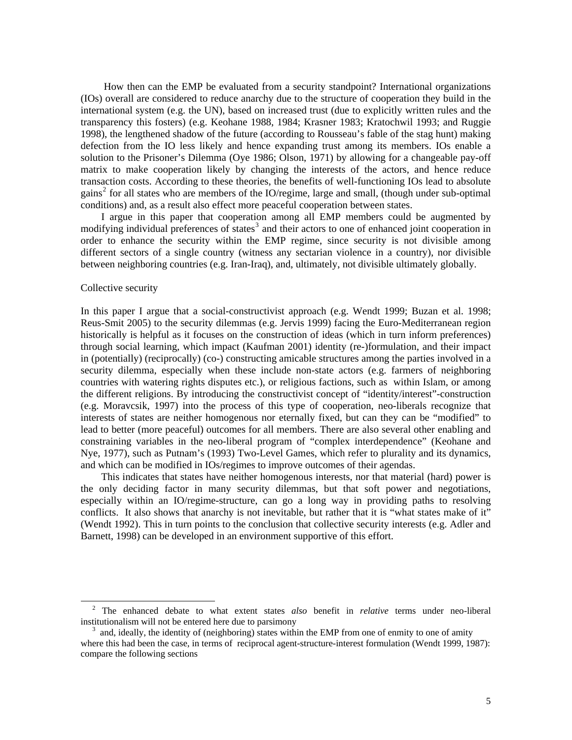How then can the EMP be evaluated from a security standpoint? International organizations (IOs) overall are considered to reduce anarchy due to the structure of cooperation they build in the international system (e.g. the UN), based on increased trust (due to explicitly written rules and the transparency this fosters) (e.g. Keohane 1988, 1984; Krasner 1983; Kratochwil 1993; and Ruggie 1998), the lengthened shadow of the future (according to Rousseau's fable of the stag hunt) making defection from the IO less likely and hence expanding trust among its members. IOs enable a solution to the Prisoner's Dilemma (Oye 1986; Olson, 1971) by allowing for a changeable pay-off matrix to make cooperation likely by changing the interests of the actors, and hence reduce transaction costs. According to these theories, the benefits of well-functioning IOs lead to absolute gains<sup>[2](#page-4-0)</sup> for all states who are members of the IO/regime, large and small, (though under sub-optimal conditions) and, as a result also effect more peaceful cooperation between states.

 I argue in this paper that cooperation among all EMP members could be augmented by modifying individual preferences of states<sup>[3](#page-4-1)</sup> and their actors to one of enhanced joint cooperation in order to enhance the security within the EMP regime, since security is not divisible among different sectors of a single country (witness any sectarian violence in a country), nor divisible between neighboring countries (e.g. Iran-Iraq), and, ultimately, not divisible ultimately globally.

#### Collective security

l

In this paper I argue that a social-constructivist approach (e.g. Wendt 1999; Buzan et al. 1998; Reus-Smit 2005) to the security dilemmas (e.g. Jervis 1999) facing the Euro-Mediterranean region historically is helpful as it focuses on the construction of ideas (which in turn inform preferences) through social learning, which impact (Kaufman 2001) identity (re-)formulation, and their impact in (potentially) (reciprocally) (co-) constructing amicable structures among the parties involved in a security dilemma, especially when these include non-state actors (e.g. farmers of neighboring countries with watering rights disputes etc.), or religious factions, such as within Islam, or among the different religions. By introducing the constructivist concept of "identity/interest"-construction (e.g. Moravcsik, 1997) into the process of this type of cooperation, neo-liberals recognize that interests of states are neither homogenous nor eternally fixed, but can they can be "modified" to lead to better (more peaceful) outcomes for all members. There are also several other enabling and constraining variables in the neo-liberal program of "complex interdependence" (Keohane and Nye, 1977), such as Putnam's (1993) Two-Level Games, which refer to plurality and its dynamics, and which can be modified in IOs/regimes to improve outcomes of their agendas.

 This indicates that states have neither homogenous interests, nor that material (hard) power is the only deciding factor in many security dilemmas, but that soft power and negotiations, especially within an IO/regime-structure, can go a long way in providing paths to resolving conflicts. It also shows that anarchy is not inevitable, but rather that it is "what states make of it" (Wendt 1992). This in turn points to the conclusion that collective security interests (e.g. Adler and Barnett, 1998) can be developed in an environment supportive of this effort.

<span id="page-4-0"></span><sup>2</sup> The enhanced debate to what extent states *also* benefit in *relative* terms under neo-liberal institutionalism will not be entered here due to parsimony

<span id="page-4-1"></span><sup>&</sup>lt;sup>3</sup> and, ideally, the identity of (neighboring) states within the EMP from one of enmity to one of amity where this had been the case, in terms of reciprocal agent-structure-interest formulation (Wendt 1999, 1987): compare the following sections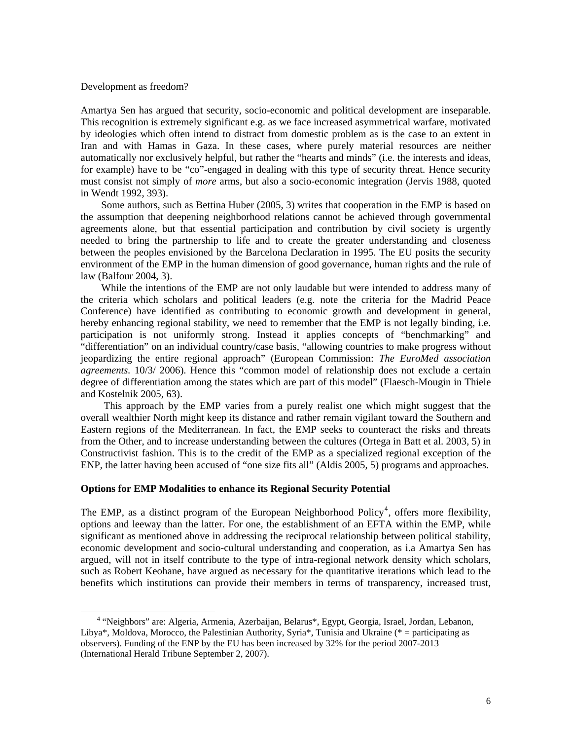#### Development as freedom?

l

Amartya Sen has argued that security, socio-economic and political development are inseparable. This recognition is extremely significant e.g. as we face increased asymmetrical warfare, motivated by ideologies which often intend to distract from domestic problem as is the case to an extent in Iran and with Hamas in Gaza. In these cases, where purely material resources are neither automatically nor exclusively helpful, but rather the "hearts and minds" (i.e. the interests and ideas, for example) have to be "co"-engaged in dealing with this type of security threat. Hence security must consist not simply of *more* arms, but also a socio-economic integration (Jervis 1988, quoted in Wendt 1992, 393).

 Some authors, such as Bettina Huber (2005, 3) writes that cooperation in the EMP is based on the assumption that deepening neighborhood relations cannot be achieved through governmental agreements alone, but that essential participation and contribution by civil society is urgently needed to bring the partnership to life and to create the greater understanding and closeness between the peoples envisioned by the Barcelona Declaration in 1995. The EU posits the security environment of the EMP in the human dimension of good governance, human rights and the rule of law (Balfour 2004, 3).

 While the intentions of the EMP are not only laudable but were intended to address many of the criteria which scholars and political leaders (e.g. note the criteria for the Madrid Peace Conference) have identified as contributing to economic growth and development in general, hereby enhancing regional stability, we need to remember that the EMP is not legally binding, i.e. participation is not uniformly strong. Instead it applies concepts of "benchmarking" and "differentiation" on an individual country/case basis, "allowing countries to make progress without jeopardizing the entire regional approach" (European Commission: *The EuroMed association agreements.* 10/3/ 2006). Hence this "common model of relationship does not exclude a certain degree of differentiation among the states which are part of this model" (Flaesch-Mougin in Thiele and Kostelnik 2005, 63).

 This approach by the EMP varies from a purely realist one which might suggest that the overall wealthier North might keep its distance and rather remain vigilant toward the Southern and Eastern regions of the Mediterranean. In fact, the EMP seeks to counteract the risks and threats from the Other, and to increase understanding between the cultures (Ortega in Batt et al. 2003, 5) in Constructivist fashion. This is to the credit of the EMP as a specialized regional exception of the ENP, the latter having been accused of "one size fits all" (Aldis 2005, 5) programs and approaches.

#### **Options for EMP Modalities to enhance its Regional Security Potential**

The EMP, as a distinct program of the European Neighborhood Policy<sup>[4](#page-5-0)</sup>, offers more flexibility, options and leeway than the latter. For one, the establishment of an EFTA within the EMP, while significant as mentioned above in addressing the reciprocal relationship between political stability, economic development and socio-cultural understanding and cooperation, as i.a Amartya Sen has argued, will not in itself contribute to the type of intra-regional network density which scholars, such as Robert Keohane, have argued as necessary for the quantitative iterations which lead to the benefits which institutions can provide their members in terms of transparency, increased trust,

<span id="page-5-0"></span><sup>&</sup>lt;sup>4</sup> "Neighbors" are: Algeria, Armenia, Azerbaijan, Belarus\*, Egypt, Georgia, Israel, Jordan, Lebanon, Libya\*, Moldova, Morocco, the Palestinian Authority, Syria\*, Tunisia and Ukraine (\* = participating as observers). Funding of the ENP by the EU has been increased by 32% for the period 2007-2013 (International Herald Tribune September 2, 2007).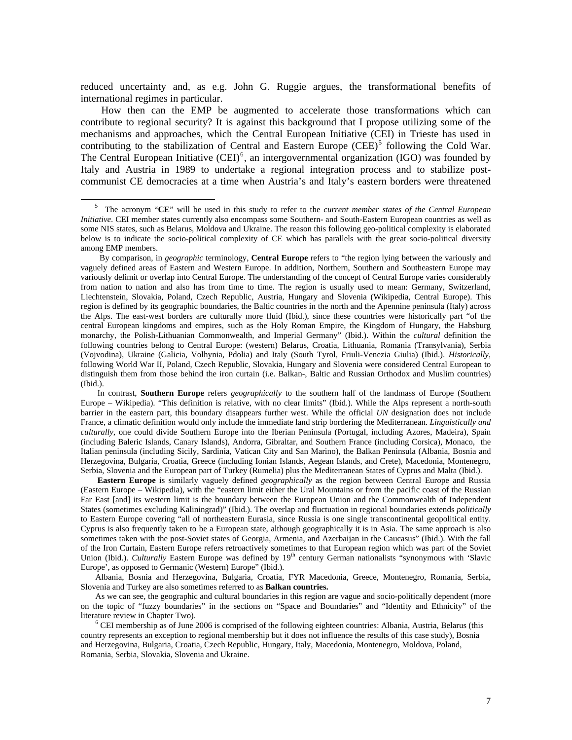reduced uncertainty and, as e.g. John G. Ruggie argues, the transformational benefits of international regimes in particular.

 How then can the EMP be augmented to accelerate those transformations which can contribute to regional security? It is against this background that I propose utilizing some of the mechanisms and approaches, which the Central European Initiative (CEI) in Trieste has used in contributing to the stabilization of Central and Eastern Europe  $(CEE)^5$  $(CEE)^5$  following the Cold War. The Central European Initiative  $(CEI)^6$  $(CEI)^6$ , an intergovernmental organization (IGO) was founded by Italy and Austria in 1989 to undertake a regional integration process and to stabilize postcommunist CE democracies at a time when Austria's and Italy's eastern borders were threatened

l

 In contrast, **Southern Europe** refers *geographically* to the southern half of the landmass of Europe (Southern Europe – Wikipedia). "This definition is relative, with no clear limits" (Ibid.). While the Alps represent a north-south barrier in the eastern part, this boundary disappears further west. While the official *UN* designation does not include France, a climatic definition would only include the immediate land strip bordering the Mediterranean. *Linguistically and culturally*, one could divide Southern Europe into the Iberian Peninsula (Portugal, including Azores, Madeira), Spain (including Baleric Islands, Canary Islands), Andorra, Gibraltar, and Southern France (including Corsica), Monaco, the Italian peninsula (including Sicily, Sardinia, Vatican City and San Marino), the Balkan Peninsula (Albania, Bosnia and Herzegovina, Bulgaria, Croatia, Greece (including Ionian Islands, Aegean Islands, and Crete), Macedonia, Montenegro, Serbia, Slovenia and the European part of Turkey (Rumelia) plus the Mediterranean States of Cyprus and Malta (Ibid.).

 **Eastern Europe** is similarly vaguely defined *geographically* as the region between Central Europe and Russia (Eastern Europe – Wikipedia), with the "eastern limit either the Ural Mountains or from the pacific coast of the Russian Far East [and] its western limit is the boundary between the European Union and the Commonwealth of Independent States (sometimes excluding Kaliningrad)" (Ibid.). The overlap and fluctuation in regional boundaries extends *politically* to Eastern Europe covering "all of northeastern Eurasia, since Russia is one single transcontinental geopolitical entity. Cyprus is also frequently taken to be a European state, although geographically it is in Asia. The same approach is also sometimes taken with the post-Soviet states of Georgia, Armenia, and Azerbaijan in the Caucasus" (Ibid.). With the fall of the Iron Curtain, Eastern Europe refers retroactively sometimes to that European region which was part of the Soviet Union (Ibid.). *Culturally* Eastern Europe was defined by 19<sup>th</sup> century German nationalists "synonymous with 'Slavic Europe', as opposed to Germanic (Western) Europe" (Ibid.).

 Albania, Bosnia and Herzegovina, Bulgaria, Croatia, FYR Macedonia, Greece, Montenegro, Romania, Serbia, Slovenia and Turkey are also sometimes referred to as **Balkan countries.**

 As we can see, the geographic and cultural boundaries in this region are vague and socio-politically dependent (more on the topic of "fuzzy boundaries" in the sections on "Space and Boundaries" and "Identity and Ethnicity" of the literature review in Chapter Two).

<span id="page-6-1"></span><sup>6</sup> CEI membership as of June 2006 is comprised of the following eighteen countries: Albania, Austria, Belarus (this country represents an exception to regional membership but it does not influence the results of this case study), Bosnia and Herzegovina, Bulgaria, Croatia, Czech Republic, Hungary, Italy, Macedonia, Montenegro, Moldova, Poland, Romania, Serbia, Slovakia, Slovenia and Ukraine.

<span id="page-6-0"></span><sup>5</sup> The acronym "**CE**" will be used in this study to refer to the *current member states of the Central European Initiative*. CEI member states currently also encompass some Southern- and South-Eastern European countries as well as some NIS states, such as Belarus, Moldova and Ukraine. The reason this following geo-political complexity is elaborated below is to indicate the socio-political complexity of CE which has parallels with the great socio-political diversity among EMP members.

By comparison, in *geographic* terminology, **Central Europe** refers to "the region lying between the variously and vaguely defined areas of Eastern and Western Europe. In addition, Northern, Southern and Southeastern Europe may variously delimit or overlap into Central Europe. The understanding of the concept of Central Europe varies considerably from nation to nation and also has from time to time. The region is usually used to mean: Germany, Switzerland, Liechtenstein, Slovakia, Poland, Czech Republic, Austria, Hungary and Slovenia (Wikipedia, Central Europe). This region is defined by its geographic boundaries, the Baltic countries in the north and the Apennine peninsula (Italy) across the Alps. The east-west borders are culturally more fluid (Ibid.), since these countries were historically part "of the central European kingdoms and empires, such as the Holy Roman Empire, the Kingdom of Hungary, the Habsburg monarchy, the Polish-Lithuanian Commonwealth, and Imperial Germany" (Ibid.). Within the *cultural* definition the following countries belong to Central Europe: (western) Belarus, Croatia, Lithuania, Romania (Transylvania), Serbia (Vojvodina), Ukraine (Galicia, Volhynia, Pdolia) and Italy (South Tyrol, Friuli-Venezia Giulia) (Ibid.). *Historically*, following World War II, Poland, Czech Republic, Slovakia, Hungary and Slovenia were considered Central European to distinguish them from those behind the iron curtain (i.e. Balkan-, Baltic and Russian Orthodox and Muslim countries) (Ibid.).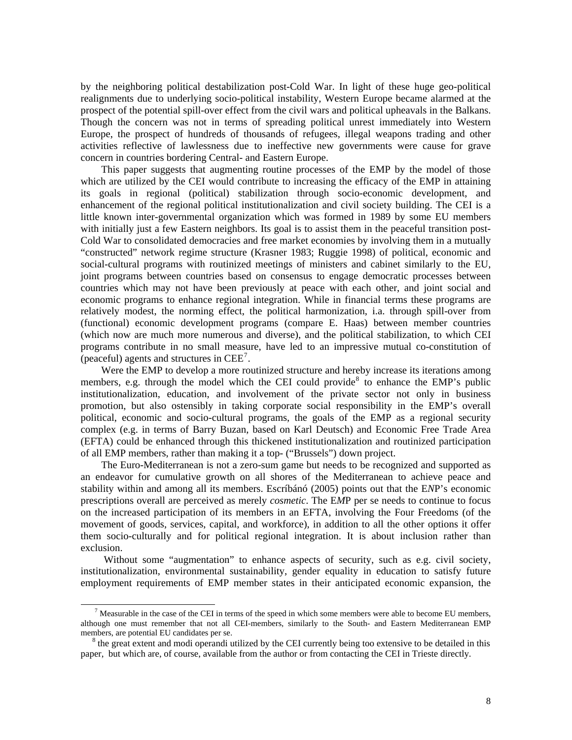by the neighboring political destabilization post-Cold War. In light of these huge geo-political realignments due to underlying socio-political instability, Western Europe became alarmed at the prospect of the potential spill-over effect from the civil wars and political upheavals in the Balkans. Though the concern was not in terms of spreading political unrest immediately into Western Europe, the prospect of hundreds of thousands of refugees, illegal weapons trading and other activities reflective of lawlessness due to ineffective new governments were cause for grave concern in countries bordering Central- and Eastern Europe.

 This paper suggests that augmenting routine processes of the EMP by the model of those which are utilized by the CEI would contribute to increasing the efficacy of the EMP in attaining its goals in regional (political) stabilization through socio-economic development, and enhancement of the regional political institutionalization and civil society building. The CEI is a little known inter-governmental organization which was formed in 1989 by some EU members with initially just a few Eastern neighbors. Its goal is to assist them in the peaceful transition post-Cold War to consolidated democracies and free market economies by involving them in a mutually "constructed" network regime structure (Krasner 1983; Ruggie 1998) of political, economic and social-cultural programs with routinized meetings of ministers and cabinet similarly to the EU, joint programs between countries based on consensus to engage democratic processes between countries which may not have been previously at peace with each other, and joint social and economic programs to enhance regional integration. While in financial terms these programs are relatively modest, the norming effect, the political harmonization, i.a. through spill-over from (functional) economic development programs (compare E. Haas) between member countries (which now are much more numerous and diverse), and the political stabilization, to which CEI programs contribute in no small measure, have led to an impressive mutual co-constitution of (peaceful) agents and structures in  $\text{CEE}^7$  $\text{CEE}^7$ .

 Were the EMP to develop a more routinized structure and hereby increase its iterations among members, e.g. through the model which the CEI could provide  $\delta$  to enhance the EMP's public institutionalization, education, and involvement of the private sector not only in business promotion, but also ostensibly in taking corporate social responsibility in the EMP's overall political, economic and socio-cultural programs, the goals of the EMP as a regional security complex (e.g. in terms of Barry Buzan, based on Karl Deutsch) and Economic Free Trade Area (EFTA) could be enhanced through this thickened institutionalization and routinized participation of all EMP members, rather than making it a top- ("Brussels") down project.

 The Euro-Mediterranean is not a zero-sum game but needs to be recognized and supported as an endeavor for cumulative growth on all shores of the Mediterranean to achieve peace and stability within and among all its members. Escríbánó (2005) points out that the E*N*P's economic prescriptions overall are perceived as merely *cosmetic*. The E*M*P per se needs to continue to focus on the increased participation of its members in an EFTA, involving the Four Freedoms (of the movement of goods, services, capital, and workforce), in addition to all the other options it offer them socio-culturally and for political regional integration. It is about inclusion rather than exclusion.

Without some "augmentation" to enhance aspects of security, such as e.g. civil society, institutionalization, environmental sustainability, gender equality in education to satisfy future employment requirements of EMP member states in their anticipated economic expansion, the

l

<span id="page-7-0"></span> $<sup>7</sup>$  Measurable in the case of the CEI in terms of the speed in which some members were able to become EU members,</sup> although one must remember that not all CEI-members, similarly to the South- and Eastern Mediterranean EMP members, are potential EU candidates per se.

<span id="page-7-1"></span><sup>&</sup>lt;sup>8</sup> the great extent and modi operandi utilized by the CEI currently being too extensive to be detailed in this paper, but which are, of course, available from the author or from contacting the CEI in Trieste directly.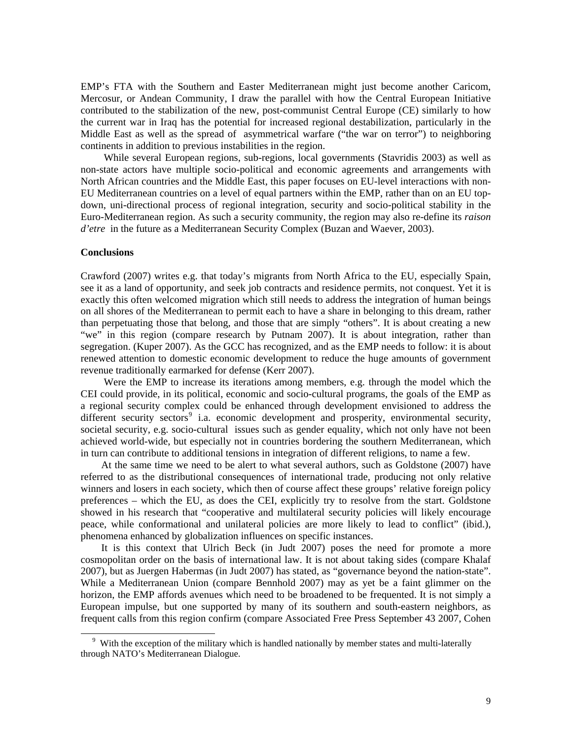EMP's FTA with the Southern and Easter Mediterranean might just become another Caricom, Mercosur, or Andean Community, I draw the parallel with how the Central European Initiative contributed to the stabilization of the new, post-communist Central Europe (CE) similarly to how the current war in Iraq has the potential for increased regional destabilization, particularly in the Middle East as well as the spread of asymmetrical warfare ("the war on terror") to neighboring continents in addition to previous instabilities in the region.

 While several European regions, sub-regions, local governments (Stavridis 2003) as well as non-state actors have multiple socio-political and economic agreements and arrangements with North African countries and the Middle East, this paper focuses on EU-level interactions with non-EU Mediterranean countries on a level of equal partners within the EMP, rather than on an EU topdown, uni-directional process of regional integration, security and socio-political stability in the Euro-Mediterranean region. As such a security community, the region may also re-define its *raison d'etre* in the future as a Mediterranean Security Complex (Buzan and Waever, 2003).

### **Conclusions**

l

Crawford (2007) writes e.g. that today's migrants from North Africa to the EU, especially Spain, see it as a land of opportunity, and seek job contracts and residence permits, not conquest. Yet it is exactly this often welcomed migration which still needs to address the integration of human beings on all shores of the Mediterranean to permit each to have a share in belonging to this dream, rather than perpetuating those that belong, and those that are simply "others". It is about creating a new "we" in this region (compare research by Putnam 2007). It is about integration, rather than segregation. (Kuper 2007). As the GCC has recognized, and as the EMP needs to follow: it is about renewed attention to domestic economic development to reduce the huge amounts of government revenue traditionally earmarked for defense (Kerr 2007).

 Were the EMP to increase its iterations among members, e.g. through the model which the CEI could provide, in its political, economic and socio-cultural programs, the goals of the EMP as a regional security complex could be enhanced through development envisioned to address the different security sectors<sup>[9](#page-8-0)</sup> i.a. economic development and prosperity, environmental security, societal security, e.g. socio-cultural issues such as gender equality, which not only have not been achieved world-wide, but especially not in countries bordering the southern Mediterranean, which in turn can contribute to additional tensions in integration of different religions, to name a few.

 At the same time we need to be alert to what several authors, such as Goldstone (2007) have referred to as the distributional consequences of international trade, producing not only relative winners and losers in each society, which then of course affect these groups' relative foreign policy preferences – which the EU, as does the CEI, explicitly try to resolve from the start. Goldstone showed in his research that "cooperative and multilateral security policies will likely encourage peace, while conformational and unilateral policies are more likely to lead to conflict" (ibid.), phenomena enhanced by globalization influences on specific instances.

 It is this context that Ulrich Beck (in Judt 2007) poses the need for promote a more cosmopolitan order on the basis of international law. It is not about taking sides (compare Khalaf 2007), but as Juergen Habermas (in Judt 2007) has stated, as "governance beyond the nation-state". While a Mediterranean Union (compare Bennhold 2007) may as yet be a faint glimmer on the horizon, the EMP affords avenues which need to be broadened to be frequented. It is not simply a European impulse, but one supported by many of its southern and south-eastern neighbors, as frequent calls from this region confirm (compare Associated Free Press September 43 2007, Cohen

<span id="page-8-0"></span><sup>&</sup>lt;sup>9</sup> With the exception of the military which is handled nationally by member states and multi-laterally through NATO's Mediterranean Dialogue.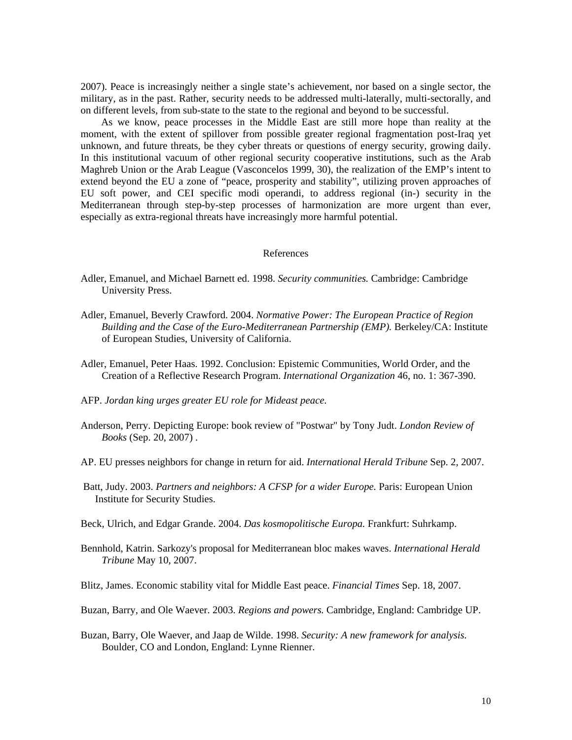2007). Peace is increasingly neither a single state's achievement, nor based on a single sector, the military, as in the past. Rather, security needs to be addressed multi-laterally, multi-sectorally, and on different levels, from sub-state to the state to the regional and beyond to be successful.

 As we know, peace processes in the Middle East are still more hope than reality at the moment, with the extent of spillover from possible greater regional fragmentation post-Iraq yet unknown, and future threats, be they cyber threats or questions of energy security, growing daily. In this institutional vacuum of other regional security cooperative institutions, such as the Arab Maghreb Union or the Arab League (Vasconcelos 1999, 30), the realization of the EMP's intent to extend beyond the EU a zone of "peace, prosperity and stability", utilizing proven approaches of EU soft power, and CEI specific modi operandi, to address regional (in-) security in the Mediterranean through step-by-step processes of harmonization are more urgent than ever, especially as extra-regional threats have increasingly more harmful potential.

#### References

- Adler, Emanuel, and Michael Barnett ed. 1998. *Security communities.* Cambridge: Cambridge University Press.
- Adler, Emanuel, Beverly Crawford. 2004. *Normative Power: The European Practice of Region Building and the Case of the Euro-Mediterranean Partnership (EMP).* Berkeley/CA: Institute of European Studies, University of California.
- Adler, Emanuel, Peter Haas. 1992. Conclusion: Epistemic Communities, World Order, and the Creation of a Reflective Research Program. *International Organization* 46, no. 1: 367-390.
- AFP. *Jordan king urges greater EU role for Mideast peace.*
- Anderson, Perry. Depicting Europe: book review of "Postwar" by Tony Judt. *London Review of Books* (Sep. 20, 2007) .
- AP. EU presses neighbors for change in return for aid. *International Herald Tribune* Sep. 2, 2007.
- Batt, Judy. 2003. *Partners and neighbors: A CFSP for a wider Europe.* Paris: European Union Institute for Security Studies.
- Beck, Ulrich, and Edgar Grande. 2004. *Das kosmopolitische Europa.* Frankfurt: Suhrkamp.
- Bennhold, Katrin. Sarkozy's proposal for Mediterranean bloc makes waves. *International Herald Tribune* May 10, 2007.
- Blitz, James. Economic stability vital for Middle East peace. *Financial Times* Sep. 18, 2007.
- Buzan, Barry, and Ole Waever. 2003. *Regions and powers.* Cambridge, England: Cambridge UP.
- Buzan, Barry, Ole Waever, and Jaap de Wilde. 1998. *Security: A new framework for analysis.*  Boulder, CO and London, England: Lynne Rienner.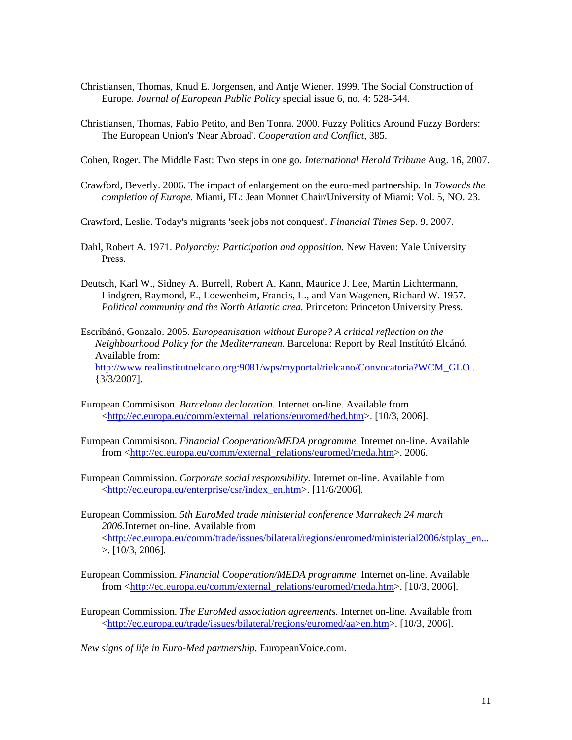- Christiansen, Thomas, Knud E. Jorgensen, and Antje Wiener. 1999. The Social Construction of Europe. *Journal of European Public Policy* special issue 6, no. 4: 528-544.
- Christiansen, Thomas, Fabio Petito, and Ben Tonra. 2000. Fuzzy Politics Around Fuzzy Borders: The European Union's 'Near Abroad'. *Cooperation and Conflict,* 385.

Cohen, Roger. The Middle East: Two steps in one go. *International Herald Tribune* Aug. 16, 2007.

- Crawford, Beverly. 2006. The impact of enlargement on the euro-med partnership. In *Towards the completion of Europe.* Miami, FL: Jean Monnet Chair/University of Miami: Vol. 5, NO. 23.
- Crawford, Leslie. Today's migrants 'seek jobs not conquest'. *Financial Times* Sep. 9, 2007.
- Dahl, Robert A. 1971. *Polyarchy: Participation and opposition.* New Haven: Yale University Press.
- Deutsch, Karl W., Sidney A. Burrell, Robert A. Kann, Maurice J. Lee, Martin Lichtermann, Lindgren, Raymond, E., Loewenheim, Francis, L., and Van Wagenen, Richard W. 1957. *Political community and the North Atlantic area.* Princeton: Princeton University Press.
- Escríbánó, Gonzalo. 2005. *Europeanisation without Europe? A critical reflection on the Neighbourhood Policy for the Mediterranean.* Barcelona: Report by Real Instítútó Elcánó. Available from: [http://www.realinstitutoelcano.org:9081/wps/myportal/rielcano/Convocatoria?WCM\\_GLO](http://www.realinstitutoelcano.org:9081/wps/myportal/rielcano/Convocatoria?WCM_GLO)... {3/3/2007].
- European Commisison. *Barcelona declaration.* Internet on-line. Available from [<http://ec.europa.eu/comm/external\\_relations/euromed/bed.htm>](http://ec.europa.eu/comm/external_relations/euromed/bed.htm). [10/3, 2006].
- European Commisison. *Financial Cooperation/MEDA programme.* Internet on-line. Available from [<http://ec.europa.eu/comm/external\\_relations/euromed/meda.htm>](http://ec.europa.eu/comm/external_relations/euromed/meda.htm). 2006.
- European Commission. *Corporate social responsibility.* Internet on-line. Available from [<http://ec.europa.eu/enterprise/csr/index\\_en.htm>](http://ec.europa.eu/enterprise/csr/index_en.htm). [11/6/2006].
- European Commission. *5th EuroMed trade ministerial conference Marrakech 24 march 2006.*Internet on-line. Available from [<http://ec.europa.eu/comm/trade/issues/bilateral/regions/euromed/ministerial2006/stplay\\_en...](http://ec.europa.eu/comm/trade/issues/bilateral/regions/euromed/ministerial2006/stplay_en...) >. [10/3, 2006].
- European Commission. *Financial Cooperation/MEDA programme.* Internet on-line. Available from [<http://ec.europa.eu/comm/external\\_relations/euromed/meda.htm>](http://ec.europa.eu/comm/external_relations/euromed/meda.htm). [10/3, 2006].
- European Commission. *The EuroMed association agreements.* Internet on-line. Available from [<http://ec.europa.eu/trade/issues/bilateral/regions/euromed/aa>en.htm>](http://ec.europa.eu/trade/issues/bilateral/regions/euromed/aa%3een.htm). [10/3, 2006].

*New signs of life in Euro-Med partnership.* EuropeanVoice.com.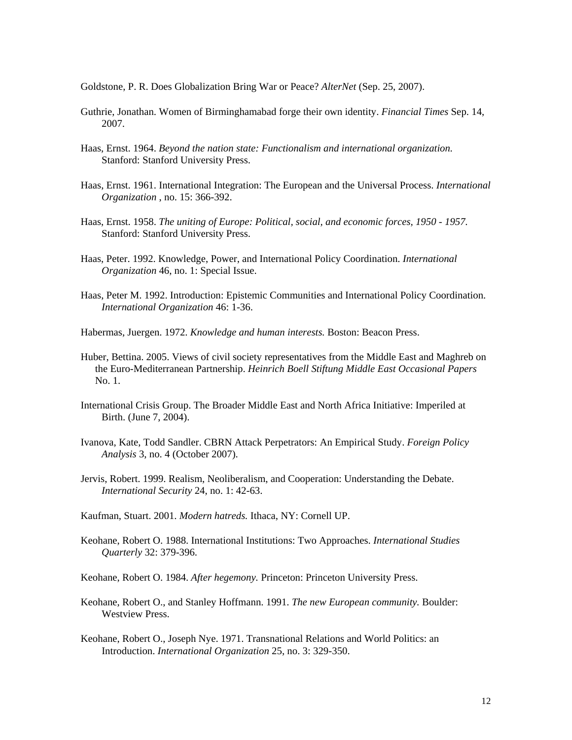Goldstone, P. R. Does Globalization Bring War or Peace? *AlterNet* (Sep. 25, 2007).

- Guthrie, Jonathan. Women of Birminghamabad forge their own identity. *Financial Times* Sep. 14, 2007.
- Haas, Ernst. 1964. *Beyond the nation state: Functionalism and international organization.*  Stanford: Stanford University Press.
- Haas, Ernst. 1961. International Integration: The European and the Universal Process. *International Organization* , no. 15: 366-392.
- Haas, Ernst. 1958. *The uniting of Europe: Political, social, and economic forces, 1950 1957.*  Stanford: Stanford University Press.
- Haas, Peter. 1992. Knowledge, Power, and International Policy Coordination. *International Organization* 46, no. 1: Special Issue.
- Haas, Peter M. 1992. Introduction: Epistemic Communities and International Policy Coordination. *International Organization* 46: 1-36.
- Habermas, Juergen. 1972. *Knowledge and human interests.* Boston: Beacon Press.
- Huber, Bettina. 2005. Views of civil society representatives from the Middle East and Maghreb on the Euro-Mediterranean Partnership. *Heinrich Boell Stiftung Middle East Occasional Papers* No. 1.
- International Crisis Group. The Broader Middle East and North Africa Initiative: Imperiled at Birth. (June 7, 2004).
- Ivanova, Kate, Todd Sandler. CBRN Attack Perpetrators: An Empirical Study. *Foreign Policy Analysis* 3, no. 4 (October 2007).
- Jervis, Robert. 1999. Realism, Neoliberalism, and Cooperation: Understanding the Debate. *International Security* 24, no. 1: 42-63.
- Kaufman, Stuart. 2001. *Modern hatreds.* Ithaca, NY: Cornell UP.
- Keohane, Robert O. 1988. International Institutions: Two Approaches. *International Studies Quarterly* 32: 379-396.
- Keohane, Robert O. 1984. *After hegemony.* Princeton: Princeton University Press.
- Keohane, Robert O., and Stanley Hoffmann. 1991. *The new European community.* Boulder: Westview Press.
- Keohane, Robert O., Joseph Nye. 1971. Transnational Relations and World Politics: an Introduction. *International Organization* 25, no. 3: 329-350.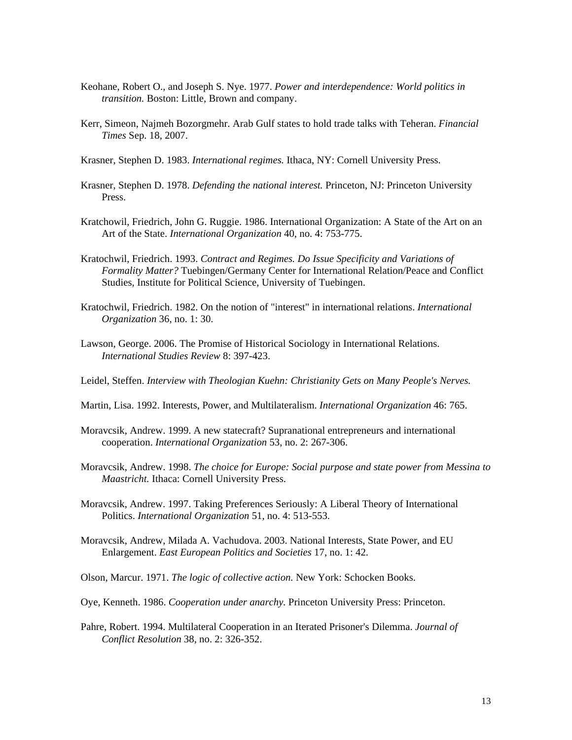- Keohane, Robert O., and Joseph S. Nye. 1977. *Power and interdependence: World politics in transition.* Boston: Little, Brown and company.
- Kerr, Simeon, Najmeh Bozorgmehr. Arab Gulf states to hold trade talks with Teheran. *Financial Times* Sep. 18, 2007.
- Krasner, Stephen D. 1983. *International regimes.* Ithaca, NY: Cornell University Press.
- Krasner, Stephen D. 1978. *Defending the national interest.* Princeton, NJ: Princeton University Press.
- Kratchowil, Friedrich, John G. Ruggie. 1986. International Organization: A State of the Art on an Art of the State. *International Organization* 40, no. 4: 753-775.
- Kratochwil, Friedrich. 1993. *Contract and Regimes. Do Issue Specificity and Variations of Formality Matter?* Tuebingen/Germany Center for International Relation/Peace and Conflict Studies, Institute for Political Science, University of Tuebingen.
- Kratochwil, Friedrich. 1982. On the notion of "interest" in international relations. *International Organization* 36, no. 1: 30.
- Lawson, George. 2006. The Promise of Historical Sociology in International Relations. *International Studies Review* 8: 397-423.
- Leidel, Steffen. *Interview with Theologian Kuehn: Christianity Gets on Many People's Nerves.*
- Martin, Lisa. 1992. Interests, Power, and Multilateralism. *International Organization* 46: 765.
- Moravcsik, Andrew. 1999. A new statecraft? Supranational entrepreneurs and international cooperation. *International Organization* 53, no. 2: 267-306.
- Moravcsik, Andrew. 1998. *The choice for Europe: Social purpose and state power from Messina to Maastricht.* Ithaca: Cornell University Press.
- Moravcsik, Andrew. 1997. Taking Preferences Seriously: A Liberal Theory of International Politics. *International Organization* 51, no. 4: 513-553.
- Moravcsik, Andrew, Milada A. Vachudova. 2003. National Interests, State Power, and EU Enlargement. *East European Politics and Societies* 17, no. 1: 42.
- Olson, Marcur. 1971. *The logic of collective action.* New York: Schocken Books.
- Oye, Kenneth. 1986. *Cooperation under anarchy.* Princeton University Press: Princeton.
- Pahre, Robert. 1994. Multilateral Cooperation in an Iterated Prisoner's Dilemma. *Journal of Conflict Resolution* 38, no. 2: 326-352.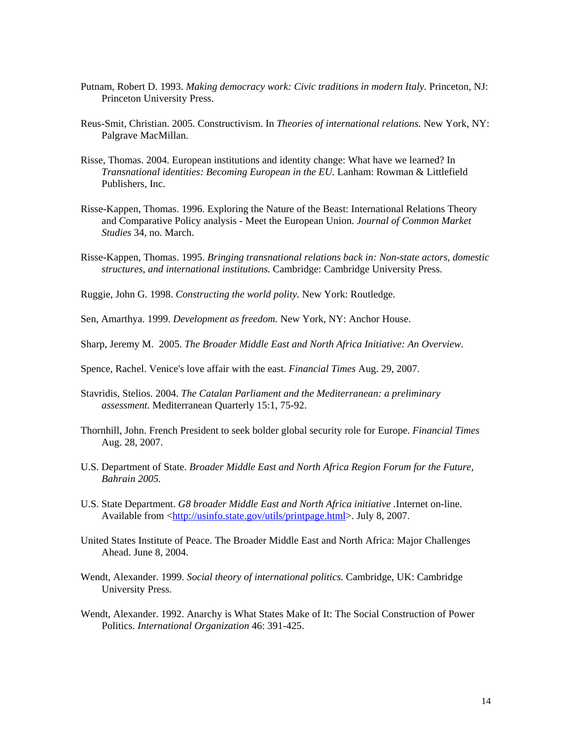- Putnam, Robert D. 1993. *Making democracy work: Civic traditions in modern Italy*. Princeton, NJ: Princeton University Press.
- Reus-Smit, Christian. 2005. Constructivism. In *Theories of international relations.* New York, NY: Palgrave MacMillan.
- Risse, Thomas. 2004. European institutions and identity change: What have we learned? In *Transnational identities: Becoming European in the EU.* Lanham: Rowman & Littlefield Publishers, Inc.
- Risse-Kappen, Thomas. 1996. Exploring the Nature of the Beast: International Relations Theory and Comparative Policy analysis - Meet the European Union. *Journal of Common Market Studies* 34, no. March.
- Risse-Kappen, Thomas. 1995. *Bringing transnational relations back in: Non-state actors, domestic structures, and international institutions.* Cambridge: Cambridge University Press.
- Ruggie, John G. 1998. *Constructing the world polity.* New York: Routledge.
- Sen, Amarthya. 1999. *Development as freedom.* New York, NY: Anchor House.
- Sharp, Jeremy M. 2005. *The Broader Middle East and North Africa Initiative: An Overview.*
- Spence, Rachel. Venice's love affair with the east. *Financial Times* Aug. 29, 2007.
- Stavridis, Stelios. 2004. *The Catalan Parliament and the Mediterranean: a preliminary assessment.* Mediterranean Quarterly 15:1, 75-92.
- Thornhill, John. French President to seek bolder global security role for Europe. *Financial Times*  Aug. 28, 2007.
- U.S. Department of State. *Broader Middle East and North Africa Region Forum for the Future, Bahrain 2005.*
- U.S. State Department. *G8 broader Middle East and North Africa initiative .*Internet on-line. Available from <<http://usinfo.state.gov/utils/printpage.html>>. July 8, 2007.
- United States Institute of Peace. The Broader Middle East and North Africa: Major Challenges Ahead. June 8, 2004.
- Wendt, Alexander. 1999. *Social theory of international politics.* Cambridge, UK: Cambridge University Press.
- Wendt, Alexander. 1992. Anarchy is What States Make of It: The Social Construction of Power Politics. *International Organization* 46: 391-425.